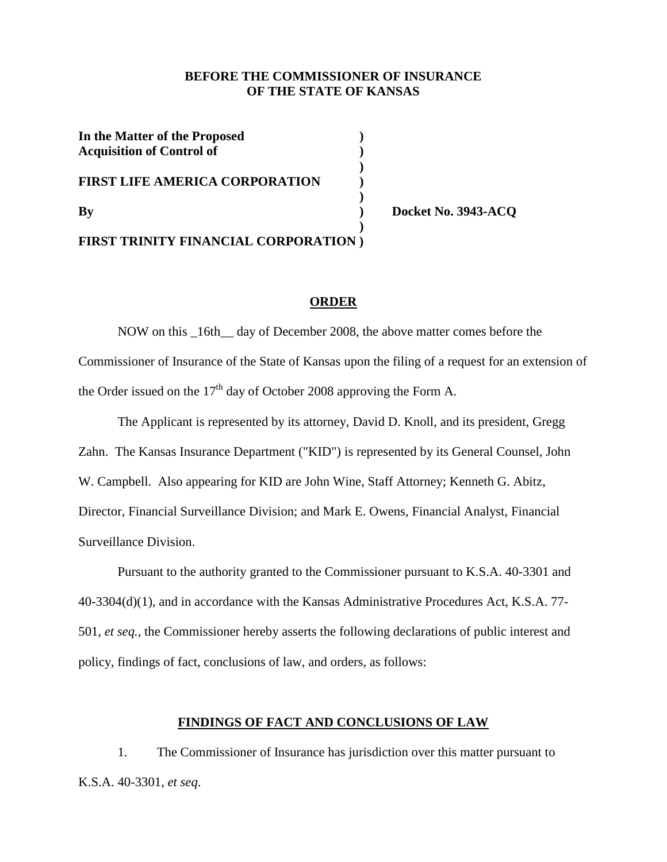# **BEFORE THE COMMISSIONER OF INSURANCE OF THE STATE OF KANSAS**

| In the Matter of the Proposed<br><b>Acquisition of Control of</b> |  |
|-------------------------------------------------------------------|--|
| <b>FIRST LIFE AMERICA CORPORATION</b>                             |  |
| $\mathbf{B}\mathbf{v}$                                            |  |
| <b>FIRST TRINITY FINANCIAL CORPORATION</b> )                      |  |

**By ) Docket No. 3943-ACQ**

## **ORDER**

NOW on this \_16th\_\_ day of December 2008, the above matter comes before the Commissioner of Insurance of the State of Kansas upon the filing of a request for an extension of the Order issued on the  $17<sup>th</sup>$  day of October 2008 approving the Form A.

The Applicant is represented by its attorney, David D. Knoll, and its president, Gregg Zahn. The Kansas Insurance Department ("KID") is represented by its General Counsel, John W. Campbell. Also appearing for KID are John Wine, Staff Attorney; Kenneth G. Abitz, Director, Financial Surveillance Division; and Mark E. Owens, Financial Analyst, Financial Surveillance Division.

Pursuant to the authority granted to the Commissioner pursuant to K.S.A. 40-3301 and 40-3304(d)(1), and in accordance with the Kansas Administrative Procedures Act, K.S.A. 77- 501, *et seq.,* the Commissioner hereby asserts the following declarations of public interest and policy, findings of fact, conclusions of law, and orders, as follows:

## **FINDINGS OF FACT AND CONCLUSIONS OF LAW**

1. The Commissioner of Insurance has jurisdiction over this matter pursuant to K.S.A. 40-3301, *et seq*.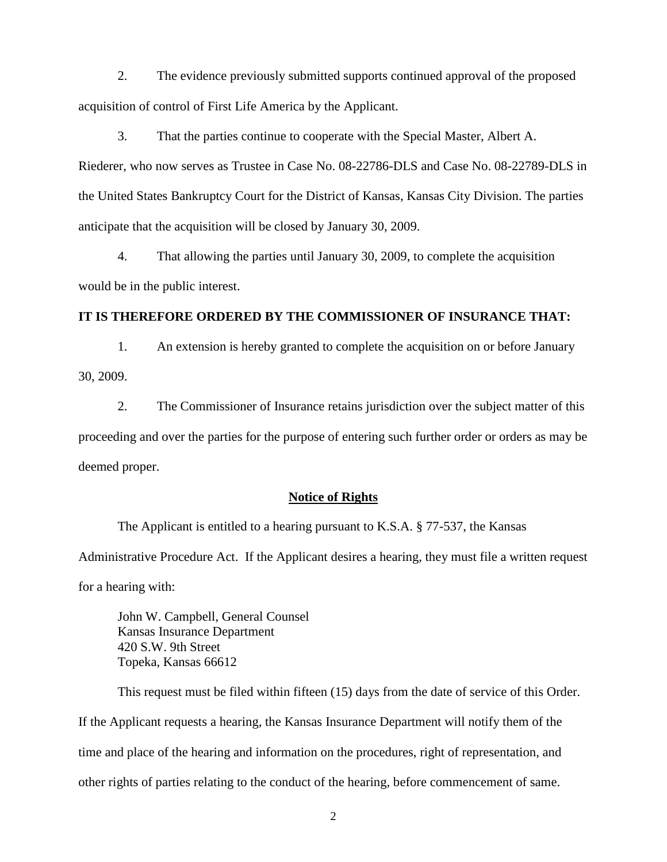2. The evidence previously submitted supports continued approval of the proposed acquisition of control of First Life America by the Applicant.

3. That the parties continue to cooperate with the Special Master, Albert A. Riederer, who now serves as Trustee in Case No. 08-22786-DLS and Case No. 08-22789-DLS in the United States Bankruptcy Court for the District of Kansas, Kansas City Division. The parties anticipate that the acquisition will be closed by January 30, 2009.

4. That allowing the parties until January 30, 2009, to complete the acquisition would be in the public interest.

## **IT IS THEREFORE ORDERED BY THE COMMISSIONER OF INSURANCE THAT:**

1. An extension is hereby granted to complete the acquisition on or before January 30, 2009.

2. The Commissioner of Insurance retains jurisdiction over the subject matter of this proceeding and over the parties for the purpose of entering such further order or orders as may be deemed proper.

## **Notice of Rights**

The Applicant is entitled to a hearing pursuant to K.S.A. § 77-537, the Kansas

Administrative Procedure Act. If the Applicant desires a hearing, they must file a written request for a hearing with:

John W. Campbell, General Counsel Kansas Insurance Department 420 S.W. 9th Street Topeka, Kansas 66612

This request must be filed within fifteen (15) days from the date of service of this Order. If the Applicant requests a hearing, the Kansas Insurance Department will notify them of the time and place of the hearing and information on the procedures, right of representation, and other rights of parties relating to the conduct of the hearing, before commencement of same.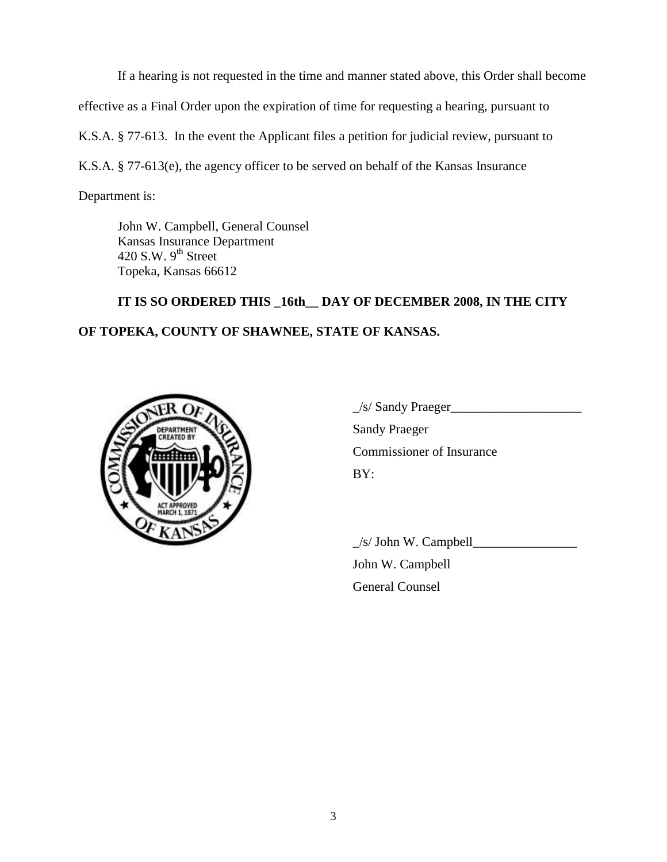If a hearing is not requested in the time and manner stated above, this Order shall become effective as a Final Order upon the expiration of time for requesting a hearing, pursuant to K.S.A. § 77-613. In the event the Applicant files a petition for judicial review, pursuant to K.S.A. § 77-613(e), the agency officer to be served on behalf of the Kansas Insurance

Department is:

John W. Campbell, General Counsel Kansas Insurance Department 420 S.W.  $9<sup>th</sup>$  Street Topeka, Kansas 66612

**IT IS SO ORDERED THIS \_16th\_\_ DAY OF DECEMBER 2008, IN THE CITY OF TOPEKA, COUNTY OF SHAWNEE, STATE OF KANSAS.**



 $\angle$ s/ Sandy Praeger $\angle$ Sandy Praeger Commissioner of Insurance BY:

 $\angle$ s/ John W. Campbell $\angle$ 

John W. Campbell General Counsel